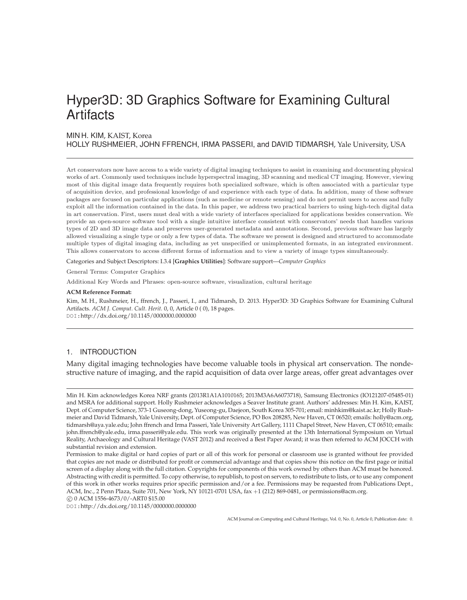# Hyper3D: 3D Graphics Software for Examining Cultural **Artifacts**

# MIN H. KIM, KAIST, Korea

HOLLY RUSHMEIER, JOHN FFRENCH, IRMA PASSERI, and DAVID TIDMARSH, Yale University, USA

Art conservators now have access to a wide variety of digital imaging techniques to assist in examining and documenting physical works of art. Commonly used techniques include hyperspectral imaging, 3D scanning and medical CT imaging. However, viewing most of this digital image data frequently requires both specialized software, which is often associated with a particular type of acquisition device, and professional knowledge of and experience with each type of data. In addition, many of these software packages are focused on particular applications (such as medicine or remote sensing) and do not permit users to access and fully exploit all the information contained in the data. In this paper, we address two practical barriers to using high-tech digital data in art conservation. First, users must deal with a wide variety of interfaces specialized for applications besides conservation. We provide an open-source software tool with a single intuitive interface consistent with conservators' needs that handles various types of 2D and 3D image data and preserves user-generated metadata and annotations. Second, previous software has largely allowed visualizing a single type or only a few types of data. The software we present is designed and structured to accommodate multiple types of digital imaging data, including as yet unspecified or unimplemented formats, in an integrated environment. This allows conservators to access different forms of information and to view a variety of image types simultaneously.

Categories and Subject Descriptors: I.3.4 [**Graphics Utilities**]: Software support—*Computer Graphics*

General Terms: Computer Graphics

Additional Key Words and Phrases: open-source software, visualization, cultural heritage

**ACM Reference Format:** Kim, M. H., Rushmeier, H., ffrench, J., Passeri, I., and Tidmarsh, D. 2013. Hyper3D: 3D Graphics Software for Examining Cultural Artifacts. *ACM J. Comput. Cult. Herit.* 0, 0, Article 0 ( 0), 18 pages. DOI:http://dx.doi.org/10.1145/0000000.0000000

# 1. INTRODUCTION

Many digital imaging technologies have become valuable tools in physical art conservation. The nondestructive nature of imaging, and the rapid acquisition of data over large areas, offer great advantages over

Min H. Kim acknowledges Korea NRF grants (2013R1A1A1010165; 2013M3A6A6073718), Samsung Electronics (IO121207-05485-01) and MSRA for additional support. Holly Rushmeier acknowledges a Seaver Institute grant. Authors' addresses: Min H. Kim, KAIST, Dept. of Computer Science, 373-1 Guseong-dong, Yuseong-gu, Daejeon, South Korea 305-701; email: minhkim@kaist.ac.kr; Holly Rushmeier and David Tidmarsh, Yale University, Dept. of Computer Science, PO Box 208285, New Haven, CT 06520; emails: holly@acm.org, tidmarsh@aya.yale.edu; John ffrench and Irma Passeri, Yale University Art Gallery, 1111 Chapel Street, New Haven, CT 06510; emails: john.ffrench@yale.edu, irma.passeri@yale.edu. This work was originally presented at the 13th International Symposium on Virtual Reality, Archaeology and Cultural Heritage (VAST 2012) and received a Best Paper Award; it was then referred to ACM JOCCH with substantial revision and extension.

Permission to make digital or hard copies of part or all of this work for personal or classroom use is granted without fee provided that copies are not made or distributed for profit or commercial advantage and that copies show this notice on the first page or initial screen of a display along with the full citation. Copyrights for components of this work owned by others than ACM must be honored. Abstracting with credit is permitted. To copy otherwise, to republish, to post on servers, to redistribute to lists, or to use any component of this work in other works requires prior specific permission and/or a fee. Permissions may be requested from Publications Dept., ACM, Inc., 2 Penn Plaza, Suite 701, New York, NY 10121-0701 USA, fax +1 (212) 869-0481, or permissions@acm.org.

<sup>-</sup>c 0 ACM 1556-4673/0/-ART0 \$15.00

DOI:http://dx.doi.org/10.1145/0000000.0000000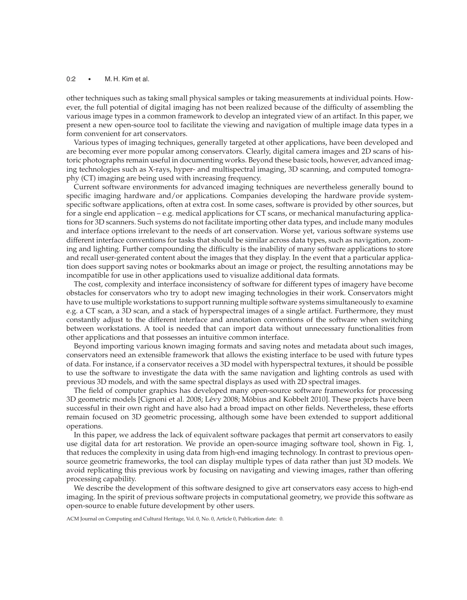#### 0:2 • M. H. Kim et al.

other techniques such as taking small physical samples or taking measurements at individual points. However, the full potential of digital imaging has not been realized because of the difficulty of assembling the various image types in a common framework to develop an integrated view of an artifact. In this paper, we present a new open-source tool to facilitate the viewing and navigation of multiple image data types in a form convenient for art conservators.

Various types of imaging techniques, generally targeted at other applications, have been developed and are becoming ever more popular among conservators. Clearly, digital camera images and 2D scans of historic photographs remain useful in documenting works. Beyond these basic tools, however, advanced imaging technologies such as X-rays, hyper- and multispectral imaging, 3D scanning, and computed tomography (CT) imaging are being used with increasing frequency.

Current software environments for advanced imaging techniques are nevertheless generally bound to specific imaging hardware and/or applications. Companies developing the hardware provide systemspecific software applications, often at extra cost. In some cases, software is provided by other sources, but for a single end application – e.g. medical applications for CT scans, or mechanical manufacturing applications for 3D scanners. Such systems do not facilitate importing other data types, and include many modules and interface options irrelevant to the needs of art conservation. Worse yet, various software systems use different interface conventions for tasks that should be similar across data types, such as navigation, zooming and lighting. Further compounding the difficulty is the inability of many software applications to store and recall user-generated content about the images that they display. In the event that a particular application does support saving notes or bookmarks about an image or project, the resulting annotations may be incompatible for use in other applications used to visualize additional data formats.

The cost, complexity and interface inconsistency of software for different types of imagery have become obstacles for conservators who try to adopt new imaging technologies in their work. Conservators might have to use multiple workstations to support running multiple software systems simultaneously to examine e.g. a CT scan, a 3D scan, and a stack of hyperspectral images of a single artifact. Furthermore, they must constantly adjust to the different interface and annotation conventions of the software when switching between workstations. A tool is needed that can import data without unnecessary functionalities from other applications and that possesses an intuitive common interface.

Beyond importing various known imaging formats and saving notes and metadata about such images, conservators need an extensible framework that allows the existing interface to be used with future types of data. For instance, if a conservator receives a 3D model with hyperspectral textures, it should be possible to use the software to investigate the data with the same navigation and lighting controls as used with previous 3D models, and with the same spectral displays as used with 2D spectral images.

The field of computer graphics has developed many open-source software frameworks for processing 3D geometric models [Cignoni et al. 2008; Lévy 2008; Möbius and Kobbelt 2010]. These projects have been successful in their own right and have also had a broad impact on other fields. Nevertheless, these efforts remain focused on 3D geometric processing, although some have been extended to support additional operations.

In this paper, we address the lack of equivalent software packages that permit art conservators to easily use digital data for art restoration. We provide an open-source imaging software tool, shown in Fig. 1, that reduces the complexity in using data from high-end imaging technology. In contrast to previous opensource geometric frameworks, the tool can display multiple types of data rather than just 3D models. We avoid replicating this previous work by focusing on navigating and viewing images, rather than offering processing capability.

We describe the development of this software designed to give art conservators easy access to high-end imaging. In the spirit of previous software projects in computational geometry, we provide this software as open-source to enable future development by other users.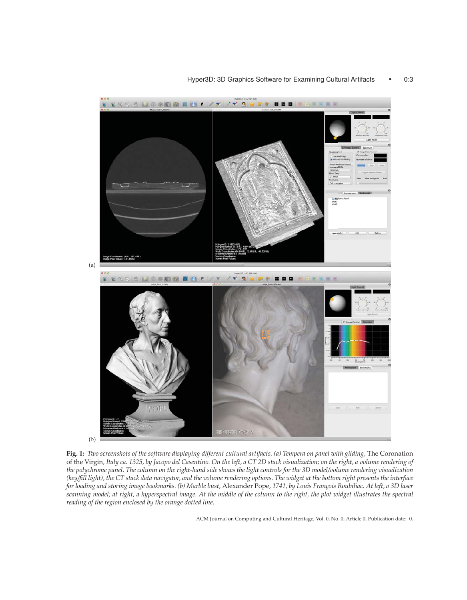

**Fig. 1:** *Two screenshots of the software displaying different cultural artifacts. (a) Tempera on panel with gilding,* The Coronation of the Virgin*, Italy ca. 1325, by Jacopo del Casentino. On the left, a CT 2D stack visualization; on the right, a volume rendering of the polychrome panel. The column on the right-hand side shows the light controls for the 3D model/volume rendering visualization (key/fill light), the CT stack data navigator, and the volume rendering options. The widget at the bottom right presents the interface for loading and storing image bookmarks. (b) Marble bust,* Alexander Pope*, 1741, by Louis Fran¸cois Roubiliac. At left, a 3D laser scanning model; at right, a hyperspectral image. At the middle of the column to the right, the plot widget illustrates the spectral reading of the region enclosed by the orange dotted line.*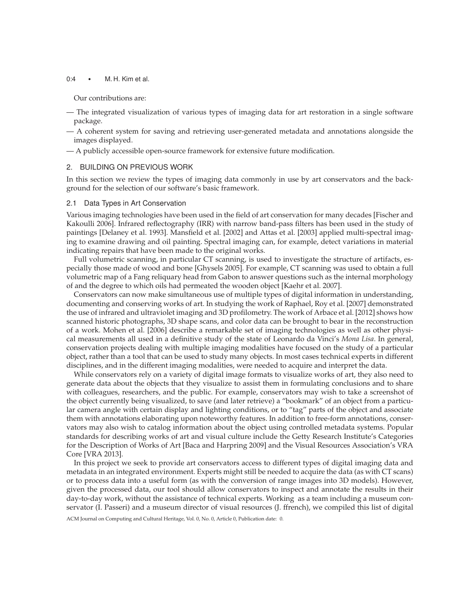# 0:4 • M. H. Kim et al.

Our contributions are:

- The integrated visualization of various types of imaging data for art restoration in a single software package.
- A coherent system for saving and retrieving user-generated metadata and annotations alongside the images displayed.
- A publicly accessible open-source framework for extensive future modification.

#### 2. BUILDING ON PREVIOUS WORK

In this section we review the types of imaging data commonly in use by art conservators and the background for the selection of our software's basic framework.

#### 2.1 Data Types in Art Conservation

Various imaging technologies have been used in the field of art conservation for many decades [Fischer and Kakoulli 2006]. Infrared reflectography (IRR) with narrow band-pass filters has been used in the study of paintings [Delaney et al. 1993]. Mansfield et al. [2002] and Attas et al. [2003] applied multi-spectral imaging to examine drawing and oil painting. Spectral imaging can, for example, detect variations in material indicating repairs that have been made to the original works.

Full volumetric scanning, in particular CT scanning, is used to investigate the structure of artifacts, especially those made of wood and bone [Ghysels 2005]. For example, CT scanning was used to obtain a full volumetric map of a Fang reliquary head from Gabon to answer questions such as the internal morphology of and the degree to which oils had permeated the wooden object [Kaehr et al. 2007].

Conservators can now make simultaneous use of multiple types of digital information in understanding, documenting and conserving works of art. In studying the work of Raphael, Roy et al. [2007] demonstrated the use of infrared and ultraviolet imaging and 3D profilometry. The work of Arbace et al. [2012] shows how scanned historic photographs, 3D shape scans, and color data can be brought to bear in the reconstruction of a work. Mohen et al. [2006] describe a remarkable set of imaging technologies as well as other physical measurements all used in a definitive study of the state of Leonardo da Vinci's *Mona Lisa*. In general, conservation projects dealing with multiple imaging modalities have focused on the study of a particular object, rather than a tool that can be used to study many objects. In most cases technical experts in different disciplines, and in the different imaging modalities, were needed to acquire and interpret the data.

While conservators rely on a variety of digital image formats to visualize works of art, they also need to generate data about the objects that they visualize to assist them in formulating conclusions and to share with colleagues, researchers, and the public. For example, conservators may wish to take a screenshot of the object currently being visualized, to save (and later retrieve) a "bookmark" of an object from a particular camera angle with certain display and lighting conditions, or to "tag" parts of the object and associate them with annotations elaborating upon noteworthy features. In addition to free-form annotations, conservators may also wish to catalog information about the object using controlled metadata systems. Popular standards for describing works of art and visual culture include the Getty Research Institute's Categories for the Description of Works of Art [Baca and Harpring 2009] and the Visual Resources Association's VRA Core [VRA 2013].

In this project we seek to provide art conservators access to different types of digital imaging data and metadata in an integrated environment. Experts might still be needed to acquire the data (as with CT scans) or to process data into a useful form (as with the conversion of range images into 3D models). However, given the processed data, our tool should allow conservators to inspect and annotate the results in their day-to-day work, without the assistance of technical experts. Working as a team including a museum conservator (I. Passeri) and a museum director of visual resources (J. ffrench), we compiled this list of digital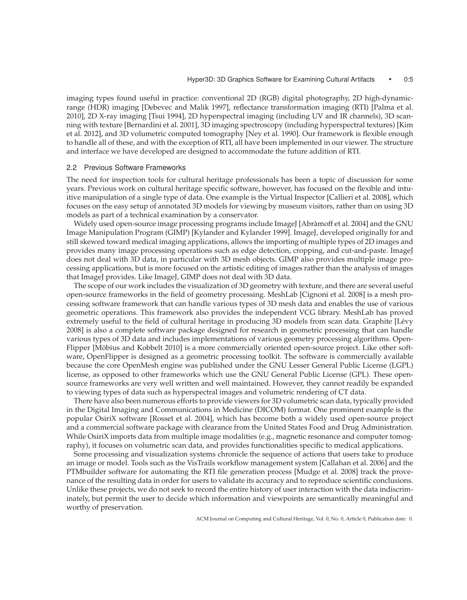imaging types found useful in practice: conventional 2D (RGB) digital photography, 2D high-dynamicrange (HDR) imaging [Debevec and Malik 1997], reflectance transformation imaging (RTI) [Palma et al. 2010], 2D X-ray imaging [Tsui 1994], 2D hyperspectral imaging (including UV and IR channels), 3D scanning with texture [Bernardini et al. 2001], 3D imaging spectroscopy (including hyperspectral textures) [Kim et al. 2012], and 3D volumetric computed tomography [Ney et al. 1990]. Our framework is flexible enough to handle all of these, and with the exception of RTI, all have been implemented in our viewer. The structure and interface we have developed are designed to accommodate the future addition of RTI.

#### 2.2 Previous Software Frameworks

The need for inspection tools for cultural heritage professionals has been a topic of discussion for some years. Previous work on cultural heritage specific software, however, has focused on the flexible and intuitive manipulation of a single type of data. One example is the Virtual Inspector [Callieri et al. 2008], which focuses on the easy setup of annotated 3D models for viewing by museum visitors, rather than on using 3D models as part of a technical examination by a conservator.

Widely used open-source image processing programs include ImageJ [Abràmoff et al. 2004] and the GNU Image Manipulation Program (GIMP) [Kylander and Kylander 1999]. ImageJ, developed originally for and still skewed toward medical imaging applications, allows the importing of multiple types of 2D images and provides many image processing operations such as edge detection, cropping, and cut-and-paste. ImageJ does not deal with 3D data, in particular with 3D mesh objects. GIMP also provides multiple image processing applications, but is more focused on the artistic editing of images rather than the analysis of images that ImageJ provides. Like ImageJ, GIMP does not deal with 3D data.

The scope of our work includes the visualization of 3D geometry with texture, and there are several useful open-source frameworks in the field of geometry processing. MeshLab [Cignoni et al. 2008] is a mesh processing software framework that can handle various types of 3D mesh data and enables the use of various geometric operations. This framework also provides the independent VCG library. MeshLab has proved extremely useful to the field of cultural heritage in producing 3D models from scan data. Graphite [Lévy 2008] is also a complete software package designed for research in geometric processing that can handle various types of 3D data and includes implementations of various geometry processing algorithms. Open-Flipper [Möbius and Kobbelt 2010] is a more commercially oriented open-source project. Like other software, OpenFlipper is designed as a geometric processing toolkit. The software is commercially available because the core OpenMesh engine was published under the GNU Lesser General Public License (LGPL) license, as opposed to other frameworks which use the GNU General Public License (GPL). These opensource frameworks are very well written and well maintained. However, they cannot readily be expanded to viewing types of data such as hyperspectral images and volumetric rendering of CT data.

There have also been numerous efforts to provide viewers for 3D volumetric scan data, typically provided in the Digital Imaging and Communications in Medicine (DICOM) format. One prominent example is the popular OsiriX software [Rosset et al. 2004], which has become both a widely used open-source project and a commercial software package with clearance from the United States Food and Drug Administration. While OsiriX imports data from multiple image modalities (e.g., magnetic resonance and computer tomography), it focuses on volumetric scan data, and provides functionalities specific to medical applications.

Some processing and visualization systems chronicle the sequence of actions that users take to produce an image or model. Tools such as the VisTrails workflow management system [Callahan et al. 2006] and the PTMbuilder software for automating the RTI file generation process [Mudge et al. 2008] track the provenance of the resulting data in order for users to validate its accuracy and to reproduce scientific conclusions. Unlike these projects, we do not seek to record the entire history of user interaction with the data indiscriminately, but permit the user to decide which information and viewpoints are semantically meaningful and worthy of preservation.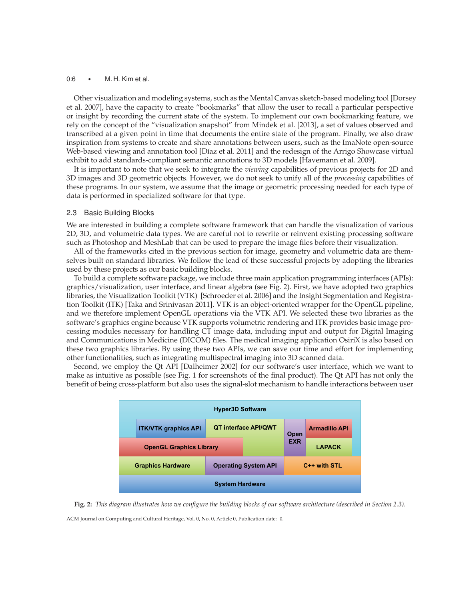# 0:6 • M. H. Kim et al.

Other visualization and modeling systems, such as the Mental Canvas sketch-based modeling tool [Dorsey et al. 2007], have the capacity to create "bookmarks" that allow the user to recall a particular perspective or insight by recording the current state of the system. To implement our own bookmarking feature, we rely on the concept of the "visualization snapshot" from Mindek et al. [2013], a set of values observed and transcribed at a given point in time that documents the entire state of the program. Finally, we also draw inspiration from systems to create and share annotations between users, such as the ImaNote open-source Web-based viewing and annotation tool [Díaz et al. 2011] and the redesign of the Arrigo Showcase virtual exhibit to add standards-compliant semantic annotations to 3D models [Havemann et al. 2009].

It is important to note that we seek to integrate the *viewing* capabilities of previous projects for 2D and 3D images and 3D geometric objects. However, we do not seek to unify all of the *processing* capabilities of these programs. In our system, we assume that the image or geometric processing needed for each type of data is performed in specialized software for that type.

# 2.3 Basic Building Blocks

We are interested in building a complete software framework that can handle the visualization of various 2D, 3D, and volumetric data types. We are careful not to rewrite or reinvent existing processing software such as Photoshop and MeshLab that can be used to prepare the image files before their visualization.

All of the frameworks cited in the previous section for image, geometry and volumetric data are themselves built on standard libraries. We follow the lead of these successful projects by adopting the libraries used by these projects as our basic building blocks.

To build a complete software package, we include three main application programming interfaces (APIs): graphics/visualization, user interface, and linear algebra (see Fig. 2). First, we have adopted two graphics libraries, the Visualization Toolkit (VTK) [Schroeder et al. 2006] and the Insight Segmentation and Registration Toolkit (ITK) [Taka and Srinivasan 2011]. VTK is an object-oriented wrapper for the OpenGL pipeline, and we therefore implement OpenGL operations via the VTK API. We selected these two libraries as the software's graphics engine because VTK supports volumetric rendering and ITK provides basic image processing modules necessary for handling CT image data, including input and output for Digital Imaging and Communications in Medicine (DICOM) files. The medical imaging application OsiriX is also based on these two graphics libraries. By using these two APIs, we can save our time and effort for implementing other functionalities, such as integrating multispectral imaging into 3D scanned data.

Second, we employ the Qt API [Dalheimer 2002] for our software's user interface, which we want to make as intuitive as possible (see Fig. 1 for screenshots of the final product). The Qt API has not only the benefit of being cross-platform but also uses the signal-slot mechanism to handle interactions between user



**Fig. 2:** *This diagram illustrates how we configure the building blocks of our software architecture (described in Section 2.3).*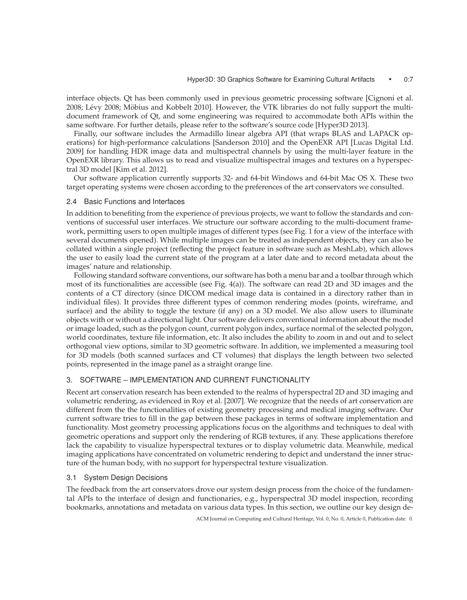interface objects. Qt has been commonly used in previous geometric processing software [Cignoni et al. 2008; Lévy 2008; Möbius and Kobbelt 2010]. However, the VTK libraries do not fully support the multidocument framework of Qt, and some engineering was required to accommodate both APIs within the same software. For further details, please refer to the software's source code [Hyper3D 2013].

Finally, our software includes the Armadillo linear algebra API (that wraps BLAS and LAPACK operations) for high-performance calculations [Sanderson 2010] and the OpenEXR API [Lucas Digital Ltd. 2009] for handling HDR image data and multispectral channels by using the multi-layer feature in the OpenEXR library. This allows us to read and visualize multispectral images and textures on a hyperspectral 3D model [Kim et al. 2012].

Our software application currently supports 32- and 64-bit Windows and 64-bit Mac OS X. These two target operating systems were chosen according to the preferences of the art conservators we consulted.

# 2.4 Basic Functions and Interfaces

In addition to benefiting from the experience of previous projects, we want to follow the standards and conventions of successful user interfaces. We structure our software according to the multi-document framework, permitting users to open multiple images of different types (see Fig. 1 for a view of the interface with several documents opened). While multiple images can be treated as independent objects, they can also be collated within a single project (reflecting the project feature in software such as MeshLab), which allows the user to easily load the current state of the program at a later date and to record metadata about the images' nature and relationship.

Following standard software conventions, our software has both a menu bar and a toolbar through which most of its functionalities are accessible (see Fig. 4(a)). The software can read 2D and 3D images and the contents of a CT directory (since DICOM medical image data is contained in a directory rather than in individual files). It provides three different types of common rendering modes (points, wireframe, and surface) and the ability to toggle the texture (if any) on a 3D model. We also allow users to illuminate objects with or without a directional light. Our software delivers conventional information about the model or image loaded, such as the polygon count, current polygon index, surface normal of the selected polygon, world coordinates, texture file information, etc. It also includes the ability to zoom in and out and to select orthogonal view options, similar to 3D geometric software. In addition, we implemented a measuring tool for 3D models (both scanned surfaces and CT volumes) that displays the length between two selected points, represented in the image panel as a straight orange line.

# 3. SOFTWARE – IMPLEMENTATION AND CURRENT FUNCTIONALITY

Recent art conservation research has been extended to the realms of hyperspectral 2D and 3D imaging and volumetric rendering, as evidenced in Roy et al. [2007]. We recognize that the needs of art conservation are different from the the functionalities of existing geometry processing and medical imaging software. Our current software tries to fill in the gap between these packages in terms of software implementation and functionality. Most geometry processing applications focus on the algorithms and techniques to deal with geometric operations and support only the rendering of RGB textures, if any. These applications therefore lack the capability to visualize hyperspectral textures or to display volumetric data. Meanwhile, medical imaging applications have concentrated on volumetric rendering to depict and understand the inner structure of the human body, with no support for hyperspectral texture visualization.

# 3.1 System Design Decisions

The feedback from the art conservators drove our system design process from the choice of the fundamental APIs to the interface of design and functionaries, e.g., hyperspectral 3D model inspection, recording bookmarks, annotations and metadata on various data types. In this section, we outline our key design de-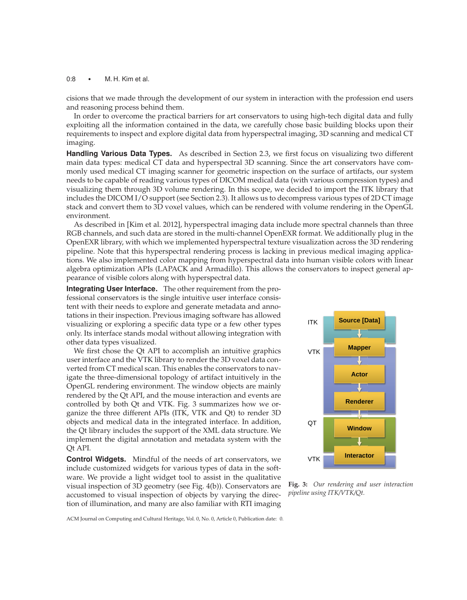# 0:8 • M. H. Kim et al.

cisions that we made through the development of our system in interaction with the profession end users and reasoning process behind them.

In order to overcome the practical barriers for art conservators to using high-tech digital data and fully exploiting all the information contained in the data, we carefully chose basic building blocks upon their requirements to inspect and explore digital data from hyperspectral imaging, 3D scanning and medical CT imaging.

**Handling Various Data Types.** As described in Section 2.3, we first focus on visualizing two different main data types: medical CT data and hyperspectral 3D scanning. Since the art conservators have commonly used medical CT imaging scanner for geometric inspection on the surface of artifacts, our system needs to be capable of reading various types of DICOM medical data (with various compression types) and visualizing them through 3D volume rendering. In this scope, we decided to import the ITK library that includes the DICOM I/O support (see Section 2.3). It allows us to decompress various types of 2D CT image stack and convert them to 3D voxel values, which can be rendered with volume rendering in the OpenGL environment.

As described in [Kim et al. 2012], hyperspectral imaging data include more spectral channels than three RGB channels, and such data are stored in the multi-channel OpenEXR format. We additionally plug in the OpenEXR library, with which we implemented hyperspectral texture visualization across the 3D rendering pipeline. Note that this hyperspectral rendering process is lacking in previous medical imaging applications. We also implemented color mapping from hyperspectral data into human visible colors with linear algebra optimization APIs (LAPACK and Armadillo). This allows the conservators to inspect general appearance of visible colors along with hyperspectral data.

**Integrating User Interface.** The other requirement from the professional conservators is the single intuitive user interface consistent with their needs to explore and generate metadata and annotations in their inspection. Previous imaging software has allowed visualizing or exploring a specific data type or a few other types only. Its interface stands modal without allowing integration with other data types visualized.

We first chose the Qt API to accomplish an intuitive graphics user interface and the VTK library to render the 3D voxel data converted from CT medical scan. This enables the conservators to navigate the three-dimensional topology of artifact intuitively in the OpenGL rendering environment. The window objects are mainly rendered by the Qt API, and the mouse interaction and events are controlled by both Qt and VTK. Fig. 3 summarizes how we organize the three different APIs (ITK, VTK and Qt) to render 3D objects and medical data in the integrated interface. In addition, the Qt library includes the support of the XML data structure. We implement the digital annotation and metadata system with the Qt API.

**Control Widgets.** Mindful of the needs of art conservators, we include customized widgets for various types of data in the software. We provide a light widget tool to assist in the qualitative visual inspection of 3D geometry (see Fig. 4(b)). Conservators are accustomed to visual inspection of objects by varying the direction of illumination, and many are also familiar with RTI imaging



**Fig. 3:** *Our rendering and user interaction pipeline using ITK/VTK/Qt.*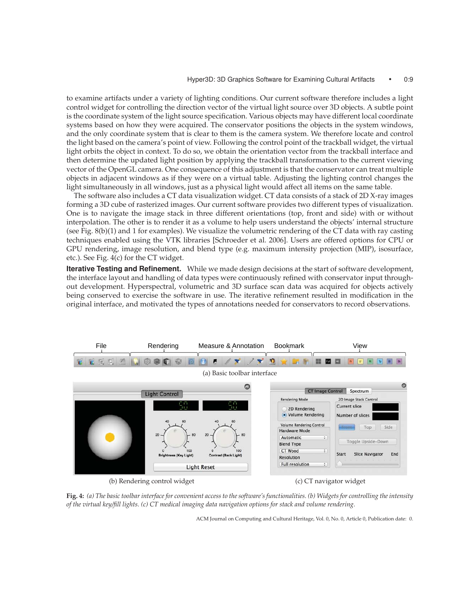to examine artifacts under a variety of lighting conditions. Our current software therefore includes a light control widget for controlling the direction vector of the virtual light source over 3D objects. A subtle point is the coordinate system of the light source specification. Various objects may have different local coordinate systems based on how they were acquired. The conservator positions the objects in the system windows, and the only coordinate system that is clear to them is the camera system. We therefore locate and control the light based on the camera's point of view. Following the control point of the trackball widget, the virtual light orbits the object in context. To do so, we obtain the orientation vector from the trackball interface and then determine the updated light position by applying the trackball transformation to the current viewing vector of the OpenGL camera. One consequence of this adjustment is that the conservator can treat multiple objects in adjacent windows as if they were on a virtual table. Adjusting the lighting control changes the light simultaneously in all windows, just as a physical light would affect all items on the same table.

The software also includes a CT data visualization widget. CT data consists of a stack of 2D X-ray images forming a 3D cube of rasterized images. Our current software provides two different types of visualization. One is to navigate the image stack in three different orientations (top, front and side) with or without interpolation. The other is to render it as a volume to help users understand the objects' internal structure (see Fig. 8(b)(1) and 1 for examples). We visualize the volumetric rendering of the CT data with ray casting techniques enabled using the VTK libraries [Schroeder et al. 2006]. Users are offered options for CPU or GPU rendering, image resolution, and blend type (e.g. maximum intensity projection (MIP), isosurface, etc.). See Fig. 4(c) for the CT widget.

**Iterative Testing and Refinement.** While we made design decisions at the start of software development, the interface layout and handling of data types were continuously refined with conservator input throughout development. Hyperspectral, volumetric and 3D surface scan data was acquired for objects actively being conserved to exercise the software in use. The iterative refinement resulted in modification in the original interface, and motivated the types of annotations needed for conservators to record observations.



(b) Rendering control widget (c) CT navigator widget

**Fig. 4:** *(a) The basic toolbar interface for convenient access to the software's functionalities. (b) Widgets for controlling the intensity of the virtual key/fill lights. (c) CT medical imaging data navigation options for stack and volume rendering.*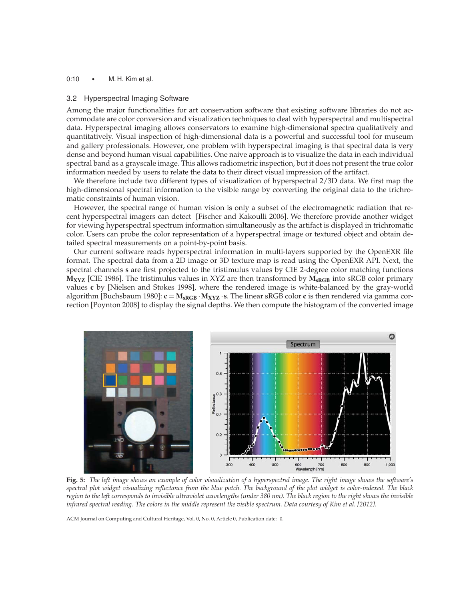# 0:10 • M. H. Kim et al.

#### 3.2 Hyperspectral Imaging Software

Among the major functionalities for art conservation software that existing software libraries do not accommodate are color conversion and visualization techniques to deal with hyperspectral and multispectral data. Hyperspectral imaging allows conservators to examine high-dimensional spectra qualitatively and quantitatively. Visual inspection of high-dimensional data is a powerful and successful tool for museum and gallery professionals. However, one problem with hyperspectral imaging is that spectral data is very dense and beyond human visual capabilities. One naive approach is to visualize the data in each individual spectral band as a grayscale image. This allows radiometric inspection, but it does not present the true color information needed by users to relate the data to their direct visual impression of the artifact.

We therefore include two different types of visualization of hyperspectral 2/3D data. We first map the high-dimensional spectral information to the visible range by converting the original data to the trichromatic constraints of human vision.

However, the spectral range of human vision is only a subset of the electromagnetic radiation that recent hyperspectral imagers can detect [Fischer and Kakoulli 2006]. We therefore provide another widget for viewing hyperspectral spectrum information simultaneously as the artifact is displayed in trichromatic color. Users can probe the color representation of a hyperspectral image or textured object and obtain detailed spectral measurements on a point-by-point basis.

Our current software reads hyperspectral information in multi-layers supported by the OpenEXR file format. The spectral data from a 2D image or 3D texture map is read using the OpenEXR API. Next, the spectral channels s are first projected to the tristimulus values by CIE 2-degree color matching functions  $M_{XYZ}$  [CIE 1986]. The tristimulus values in XYZ are then transformed by  $M_{sRGB}$  into sRGB color primary values c by [Nielsen and Stokes 1998], where the rendered image is white-balanced by the gray-world algorithm [Buchsbaum 1980]:  $c = M_{sRGB} \cdot M_{XYZ} \cdot s$ . The linear sRGB color c is then rendered via gamma correction [Poynton 2008] to display the signal depths. We then compute the histogram of the converted image



**Fig. 5:** *The left image shows an example of color visualization of a hyperspectral image. The right image shows the software's spectral plot widget visualizing reflectance from the blue patch. The background of the plot widget is color-indexed. The black region to the left corresponds to invisible ultraviolet wavelengths (under 380 nm). The black region to the right shows the invisible infrared spectral reading. The colors in the middle represent the visible spectrum. Data courtesy of Kim et al. [2012].*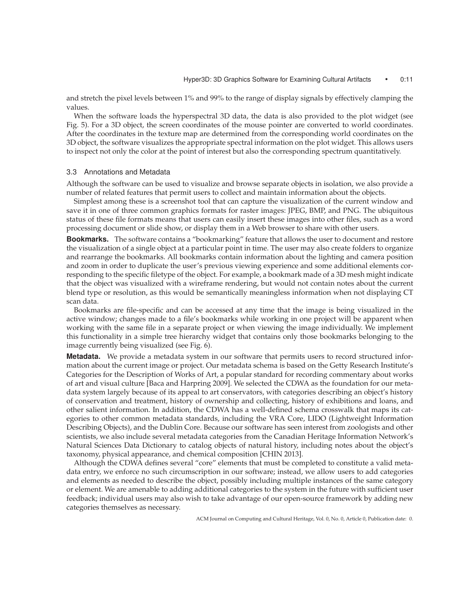and stretch the pixel levels between 1% and 99% to the range of display signals by effectively clamping the values.

When the software loads the hyperspectral 3D data, the data is also provided to the plot widget (see Fig. 5). For a 3D object, the screen coordinates of the mouse pointer are converted to world coordinates. After the coordinates in the texture map are determined from the corresponding world coordinates on the 3D object, the software visualizes the appropriate spectral information on the plot widget. This allows users to inspect not only the color at the point of interest but also the corresponding spectrum quantitatively.

#### 3.3 Annotations and Metadata

Although the software can be used to visualize and browse separate objects in isolation, we also provide a number of related features that permit users to collect and maintain information about the objects.

Simplest among these is a screenshot tool that can capture the visualization of the current window and save it in one of three common graphics formats for raster images: JPEG, BMP, and PNG. The ubiquitous status of these file formats means that users can easily insert these images into other files, such as a word processing document or slide show, or display them in a Web browser to share with other users.

**Bookmarks.** The software contains a "bookmarking" feature that allows the user to document and restore the visualization of a single object at a particular point in time. The user may also create folders to organize and rearrange the bookmarks. All bookmarks contain information about the lighting and camera position and zoom in order to duplicate the user's previous viewing experience and some additional elements corresponding to the specific filetype of the object. For example, a bookmark made of a 3D mesh might indicate that the object was visualized with a wireframe rendering, but would not contain notes about the current blend type or resolution, as this would be semantically meaningless information when not displaying CT scan data.

Bookmarks are file-specific and can be accessed at any time that the image is being visualized in the active window; changes made to a file's bookmarks while working in one project will be apparent when working with the same file in a separate project or when viewing the image individually. We implement this functionality in a simple tree hierarchy widget that contains only those bookmarks belonging to the image currently being visualized (see Fig. 6).

**Metadata.** We provide a metadata system in our software that permits users to record structured information about the current image or project. Our metadata schema is based on the Getty Research Institute's Categories for the Description of Works of Art, a popular standard for recording commentary about works of art and visual culture [Baca and Harpring 2009]. We selected the CDWA as the foundation for our metadata system largely because of its appeal to art conservators, with categories describing an object's history of conservation and treatment, history of ownership and collecting, history of exhibitions and loans, and other salient information. In addition, the CDWA has a well-defined schema crosswalk that maps its categories to other common metadata standards, including the VRA Core, LIDO (Lightweight Information Describing Objects), and the Dublin Core. Because our software has seen interest from zoologists and other scientists, we also include several metadata categories from the Canadian Heritage Information Network's Natural Sciences Data Dictionary to catalog objects of natural history, including notes about the object's taxonomy, physical appearance, and chemical composition [CHIN 2013].

Although the CDWA defines several "core" elements that must be completed to constitute a valid metadata entry, we enforce no such circumscription in our software; instead, we allow users to add categories and elements as needed to describe the object, possibly including multiple instances of the same category or element. We are amenable to adding additional categories to the system in the future with sufficient user feedback; individual users may also wish to take advantage of our open-source framework by adding new categories themselves as necessary.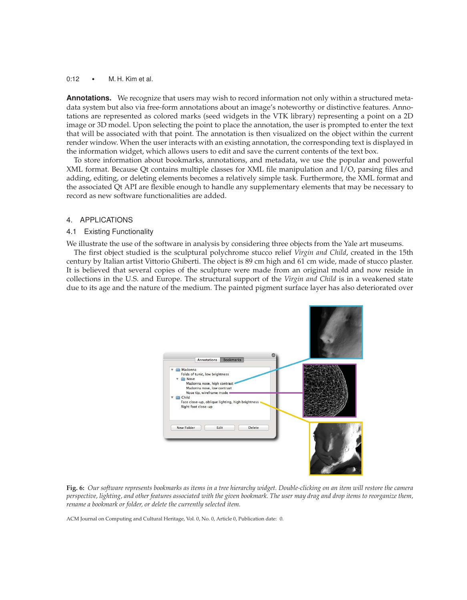#### 0:12 • M. H. Kim et al.

**Annotations.** We recognize that users may wish to record information not only within a structured metadata system but also via free-form annotations about an image's noteworthy or distinctive features. Annotations are represented as colored marks (seed widgets in the VTK library) representing a point on a 2D image or 3D model. Upon selecting the point to place the annotation, the user is prompted to enter the text that will be associated with that point. The annotation is then visualized on the object within the current render window. When the user interacts with an existing annotation, the corresponding text is displayed in the information widget, which allows users to edit and save the current contents of the text box.

To store information about bookmarks, annotations, and metadata, we use the popular and powerful XML format. Because Qt contains multiple classes for XML file manipulation and I/O, parsing files and adding, editing, or deleting elements becomes a relatively simple task. Furthermore, the XML format and the associated Qt API are flexible enough to handle any supplementary elements that may be necessary to record as new software functionalities are added.

# 4. APPLICATIONS

# 4.1 Existing Functionality

We illustrate the use of the software in analysis by considering three objects from the Yale art museums.

The first object studied is the sculptural polychrome stucco relief *Virgin and Child*, created in the 15th century by Italian artist Vittorio Ghiberti. The object is 89 cm high and 61 cm wide, made of stucco plaster. It is believed that several copies of the sculpture were made from an original mold and now reside in collections in the U.S. and Europe. The structural support of the *Virgin and Child* is in a weakened state due to its age and the nature of the medium. The painted pigment surface layer has also deteriorated over



**Fig. 6:** *Our software represents bookmarks as items in a tree hierarchy widget. Double-clicking on an item will restore the camera perspective, lighting, and other features associated with the given bookmark. The user may drag and drop items to reorganize them, rename a bookmark or folder, or delete the currently selected item.*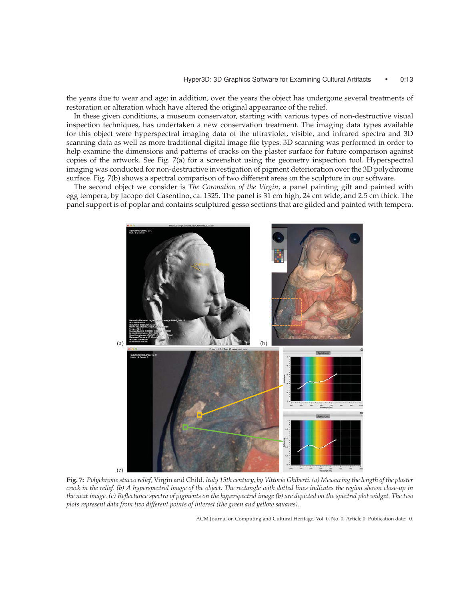the years due to wear and age; in addition, over the years the object has undergone several treatments of restoration or alteration which have altered the original appearance of the relief.

In these given conditions, a museum conservator, starting with various types of non-destructive visual inspection techniques, has undertaken a new conservation treatment. The imaging data types available for this object were hyperspectral imaging data of the ultraviolet, visible, and infrared spectra and 3D scanning data as well as more traditional digital image file types. 3D scanning was performed in order to help examine the dimensions and patterns of cracks on the plaster surface for future comparison against copies of the artwork. See Fig. 7(a) for a screenshot using the geometry inspection tool. Hyperspectral imaging was conducted for non-destructive investigation of pigment deterioration over the 3D polychrome surface. Fig. 7(b) shows a spectral comparison of two different areas on the sculpture in our software.

The second object we consider is *The Coronation of the Virgin*, a panel painting gilt and painted with egg tempera, by Jacopo del Casentino, ca. 1325. The panel is 31 cm high, 24 cm wide, and 2.5 cm thick. The panel support is of poplar and contains sculptured gesso sections that are gilded and painted with tempera.



**Fig. 7:** *Polychrome stucco relief,* Virgin and Child*, Italy 15th century, by Vittorio Ghiberti. (a) Measuring the length of the plaster crack in the relief. (b) A hyperspectral image of the object. The rectangle with dotted lines indicates the region shown close-up in the next image. (c) Reflectance spectra of pigments on the hyperspectral image (b) are depicted on the spectral plot widget. The two plots represent data from two different points of interest (the green and yellow squares).*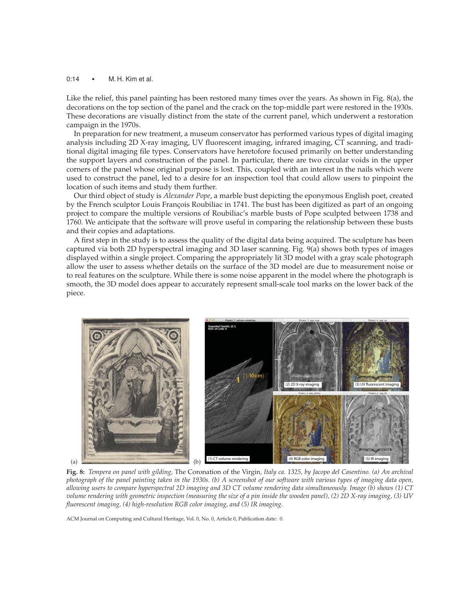# 0:14 • M. H. Kim et al.

Like the relief, this panel painting has been restored many times over the years. As shown in Fig. 8(a), the decorations on the top section of the panel and the crack on the top-middle part were restored in the 1930s. These decorations are visually distinct from the state of the current panel, which underwent a restoration campaign in the 1970s.

In preparation for new treatment, a museum conservator has performed various types of digital imaging analysis including 2D X-ray imaging, UV fluorescent imaging, infrared imaging, CT scanning, and traditional digital imaging file types. Conservators have heretofore focused primarily on better understanding the support layers and construction of the panel. In particular, there are two circular voids in the upper corners of the panel whose original purpose is lost. This, coupled with an interest in the nails which were used to construct the panel, led to a desire for an inspection tool that could allow users to pinpoint the location of such items and study them further.

Our third object of study is *Alexander Pope*, a marble bust depicting the eponymous English poet, created by the French sculptor Louis François Roubiliac in 1741. The bust has been digitized as part of an ongoing project to compare the multiple versions of Roubiliac's marble busts of Pope sculpted between 1738 and 1760. We anticipate that the software will prove useful in comparing the relationship between these busts and their copies and adaptations.

A first step in the study is to assess the quality of the digital data being acquired. The sculpture has been captured via both 2D hyperspectral imaging and 3D laser scanning. Fig. 9(a) shows both types of images displayed within a single project. Comparing the appropriately lit 3D model with a gray scale photograph allow the user to assess whether details on the surface of the 3D model are due to measurement noise or to real features on the sculpture. While there is some noise apparent in the model where the photograph is smooth, the 3D model does appear to accurately represent small-scale tool marks on the lower back of the piece.



**Fig. 8:** *Tempera on panel with gilding,* The Coronation of the Virgin*, Italy ca. 1325, by Jacopo del Casentino. (a) An archival photograph of the panel painting taken in the 1930s. (b) A screenshot of our software with various types of imaging data open, allowing users to compare hyperspectral 2D imaging and 3D CT volume rendering data simultaneously. Image (b) shows (1) CT volume rendering with geometric inspection (measuring the size of a pin inside the wooden panel), (2) 2D X-ray imaging, (3) UV fluorescent imaging, (4) high-resolution RGB color imaging, and (5) IR imaging.*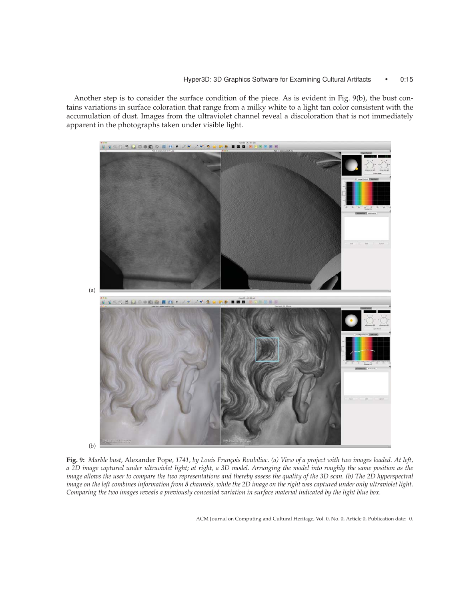Another step is to consider the surface condition of the piece. As is evident in Fig. 9(b), the bust contains variations in surface coloration that range from a milky white to a light tan color consistent with the accumulation of dust. Images from the ultraviolet channel reveal a discoloration that is not immediately apparent in the photographs taken under visible light.



Fig. 9: Marble bust, Alexander Pope, 1741, by Louis François Roubiliac. (a) View of a project with two images loaded. At left, *a 2D image captured under ultraviolet light; at right, a 3D model. Arranging the model into roughly the same position as the image allows the user to compare the two representations and thereby assess the quality of the 3D scan. (b) The 2D hyperspectral image on the left combines information from 8 channels, while the 2D image on the right was captured under only ultraviolet light. Comparing the two images reveals a previously concealed variation in surface material indicated by the light blue box.*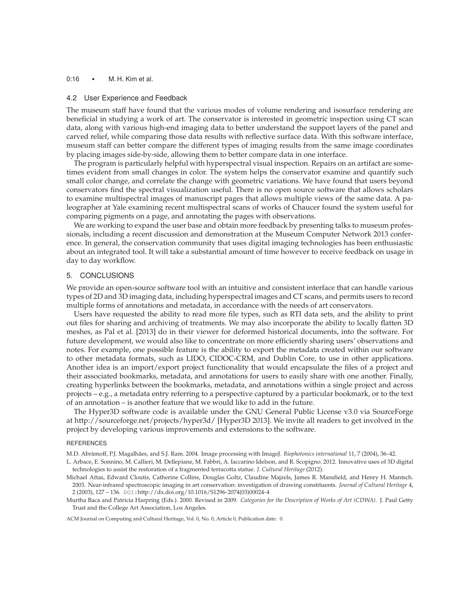# 0:16 • M. H. Kim et al.

#### 4.2 User Experience and Feedback

The museum staff have found that the various modes of volume rendering and isosurface rendering are beneficial in studying a work of art. The conservator is interested in geometric inspection using CT scan data, along with various high-end imaging data to better understand the support layers of the panel and carved relief, while comparing those data results with reflective surface data. With this software interface, museum staff can better compare the different types of imaging results from the same image coordinates by placing images side-by-side, allowing them to better compare data in one interface.

The program is particularly helpful with hyperspectral visual inspection. Repairs on an artifact are sometimes evident from small changes in color. The system helps the conservator examine and quantify such small color change, and correlate the change with geometric variations. We have found that users beyond conservators find the spectral visualization useful. There is no open source software that allows scholars to examine multispectral images of manuscript pages that allows multiple views of the same data. A paleographer at Yale examining recent multispectral scans of works of Chaucer found the system useful for comparing pigments on a page, and annotating the pages with observations.

We are working to expand the user base and obtain more feedback by presenting talks to museum professionals, including a recent discussion and demonstration at the Museum Computer Network 2013 conference. In general, the conservation community that uses digital imaging technologies has been enthusiastic about an integrated tool. It will take a substantial amount of time however to receive feedback on usage in day to day workflow.

#### 5. CONCLUSIONS

We provide an open-source software tool with an intuitive and consistent interface that can handle various types of 2D and 3D imaging data, including hyperspectral images and CT scans, and permits users to record multiple forms of annotations and metadata, in accordance with the needs of art conservators.

Users have requested the ability to read more file types, such as RTI data sets, and the ability to print out files for sharing and archiving of treatments. We may also incorporate the ability to locally flatten 3D meshes, as Pal et al. [2013] do in their viewer for deformed historical documents, into the software. For future development, we would also like to concentrate on more efficiently sharing users' observations and notes. For example, one possible feature is the ability to export the metadata created within our software to other metadata formats, such as LIDO, CIDOC-CRM, and Dublin Core, to use in other applications. Another idea is an import/export project functionality that would encapsulate the files of a project and their associated bookmarks, metadata, and annotations for users to easily share with one another. Finally, creating hyperlinks between the bookmarks, metadata, and annotations within a single project and across projects – e.g., a metadata entry referring to a perspective captured by a particular bookmark, or to the text of an annotation – is another feature that we would like to add in the future.

The Hyper3D software code is available under the GNU General Public License v3.0 via SourceForge at http://sourceforge.net/projects/hyper3d/ [Hyper3D 2013]. We invite all readers to get involved in the project by developing various improvements and extensions to the software.

#### REFERENCES

M.D. Abràmoff, P.J. Magalhães, and S.J. Ram. 2004. Image processing with ImageJ. Biophotonics international 11, 7 (2004), 36–42.

- L. Arbace, E. Sonnino, M. Callieri, M. Dellepiane, M. Fabbri, A. Iaccarino Idelson, and R. Scopigno. 2012. Innovative uses of 3D digital technologies to assist the restoration of a fragmented terracotta statue. *J. Cultural Heritage* (2012).
- Michael Attas, Edward Cloutis, Catherine Collins, Douglas Goltz, Claudine Majzels, James R. Mansfield, and Henry H. Mantsch. 2003. Near-infrared spectroscopic imaging in art conservation: investigation of drawing constituents. *Journal of Cultural Heritage* 4, 2 (2003), 127 – 136.  $DOT:http://dx.doi.org/10.1016/S1296-2074(03)00024-4$
- Murtha Baca and Patricia Harpring (Eds.). 2000. Revised in 2009. *Categories for the Description of Works of Art (CDWA)*. J. Paul Getty Trust and the College Art Association, Los Angeles.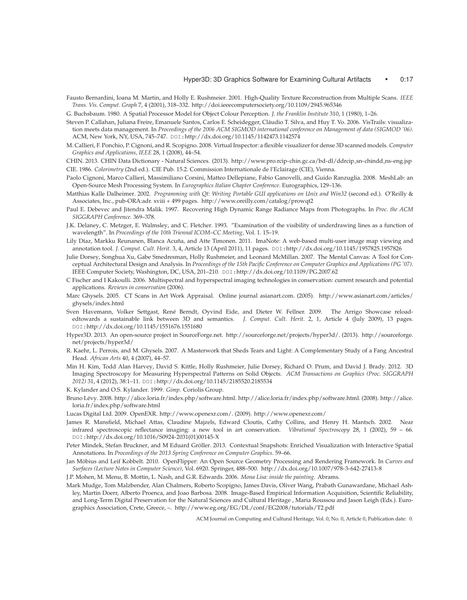- Fausto Bernardini, Ioana M. Martin, and Holly E. Rushmeier. 2001. High-Quality Texture Reconstruction from Multiple Scans. *IEEE Trans. Vis. Comput. Graph* 7, 4 (2001), 318–332. http://doi.ieeecomputersociety.org/10.1109/2945.965346
- G. Buchsbaum. 1980. A Spatial Processor Model for Object Colour Perception. *J. the Franklin Institute* 310, 1 (1980), 1–26.
- Steven P. Callahan, Juliana Freire, Emanuele Santos, Carlos E. Scheidegger, Claudio T. Silva, and Huy T. Vo. 2006. VisTrails: visualiza- ´ tion meets data management. In *Proceedings of the 2006 ACM SIGMOD international conference on Management of data (SIGMOD '06)*. ACM, New York, NY, USA, 745–747. DOI:http://dx.doi.org/10.1145/1142473.1142574
- M. Callieri, F. Ponchio, P. Cignoni, and R. Scopigno. 2008. Virtual Inspector: a flexible visualizer for dense 3D scanned models. *Computer Graphics and Applications, IEEE* 28, 1 (2008), 44–54.
- CHIN. 2013. CHIN Data Dictionary Natural Sciences. (2013). http://www.pro.rcip-chin.gc.ca/bd-dl/ddrcip sn-chindd ns-eng.jsp CIE. 1986. *Colorimetry* (2nd ed.). CIE Pub. 15.2. Commission Internationale de l'Eclairage (CIE), Vienna.
- Paolo Cignoni, Marco Callieri, Massimiliano Corsini, Matteo Dellepiane, Fabio Ganovelli, and Guido Ranzuglia. 2008. MeshLab: an Open-Source Mesh Processing System. In *Eurographics Italian Chapter Conference*. Eurographics, 129–136.
- Matthias Kalle Dalheimer. 2002. *Programming with Qt: Writing Portable GUI applications on Unix and Win32* (second ed.). O'Reilly & Associates, Inc., pub-ORA:adr. xviii + 499 pages. http://www.oreilly.com/catalog/prowqt2
- Paul E. Debevec and Jitendra Malik. 1997. Recovering High Dynamic Range Radiance Maps from Photographs. In *Proc. the ACM SIGGRAPH Conference*. 369–378.
- J.K. Delaney, C. Metzger, E. Walmsley, and C. Fletcher. 1993. "Examination of the visibility of underdrawing lines as a function of wavelength". In *Proceedings of the 10th Triennal ICOM–CC Meeting*, Vol. 1. 15–19.
- Lily Díaz, Markku Reunanen, Blanca Acuña, and Atte Timonen. 2011. ImaNote: A web-based multi-user image map viewing and annotation tool. *J. Comput. Cult. Herit.* 3, 4, Article 13 (April 2011), 11 pages. DOI:http://dx.doi.org/10.1145/1957825.1957826
- Julie Dorsey, Songhua Xu, Gabe Smedresman, Holly Rushmeier, and Leonard McMillan. 2007. The Mental Canvas: A Tool for Conceptual Architectural Design and Analysis. In *Proceedings of the 15th Pacific Conference on Computer Graphics and Applications (PG '07)*. IEEE Computer Society, Washington, DC, USA, 201–210. DOI:http://dx.doi.org/10.1109/PG.2007.62
- C Fischer and I Kakoulli. 2006. Multispectral and hyperspectral imaging technologies in conservation: current research and potential applications. *Reviews in conservation* (2006).
- Marc Ghysels. 2005. CT Scans in Art Work Appraisal. Online journal asianart.com. (2005). http://www.asianart.com/articles/ ghysels/index.html
- Sven Havemann, Volker Settgast, René Berndt, Oyvind Eide, and Dieter W. Fellner. 2009. The Arrigo Showcase reloadedtowards a sustainable link between 3D and semantics. *J. Comput. Cult. Herit.* 2, 1, Article 4 (July 2009), 13 pages. DOI:http://dx.doi.org/10.1145/1551676.1551680
- Hyper3D. 2013. An open-source project in SourceForge.net. http://sourceforge.net/projects/hyper3d/. (2013). http://sourceforge. net/projects/hyper3d/
- R. Kaehr, L. Perrois, and M. Ghysels. 2007. A Masterwork that Sheds Tears and Light: A Complementary Study of a Fang Ancestral Head. *African Arts* 40, 4 (2007), 44–57.
- Min H. Kim, Todd Alan Harvey, David S. Kittle, Holly Rushmeier, Julie Dorsey, Richard O. Prum, and David J. Brady. 2012. 3D Imaging Spectroscopy for Measuring Hyperspectral Patterns on Solid Objects. *ACM Transactions on Graphics (Proc. SIGGRAPH 2012)* 31, 4 (2012), 38:1–11. DOI:http://dx.doi.org/10.1145/2185520.2185534
- K. Kylander and O.S. Kylander. 1999. *Gimp*. Coriolis Group.
- Bruno Levy. 2008. http://alice.loria.fr/index.php/software.html. http://alice.loria.fr/index.php/software.html. (2008). http://alice. ´ loria.fr/index.php/software.html
- Lucas Digital Ltd. 2009. OpenEXR. http://www.openexr.com/. (2009). http://www.openexr.com/
- James R. Mansfield, Michael Attas, Claudine Majzels, Edward Cloutis, Cathy Collins, and Henry H. Mantsch. 2002. Near infrared spectroscopic reflectance imaging: a new tool in art conservation. *Vibrational Spectroscopy* 28, 1 (2002), 59 – 66. DOI:http://dx.doi.org/10.1016/S0924-2031(01)00145-X
- Peter Mindek, Stefan Bruckner, and M Eduard Groller. 2013. Contextual Snapshots: Enriched Visualization with Interactive Spatial ¨ Annotations. In *Proceedings of the 2013 Spring Conference on Computer Graphics*. 59–66.
- Jan Möbius and Leif Kobbelt. 2010. OpenFlipper: An Open Source Geometry Processing and Rendering Framework. In Curves and *Surfaces (Lecture Notes in Computer Science)*, Vol. 6920. Springer, 488–500. http://dx.doi.org/10.1007/978-3-642-27413-8
- J.P. Mohen, M. Menu, B. Mottin, L. Nash, and G.R. Edwards. 2006. *Mona Lisa: inside the painting*. Abrams.
- Mark Mudge, Tom Malzbender, Alan Chalmers, Roberto Scopigno, James Davis, Oliver Wang, Prabath Gunawardane, Michael Ashley, Martin Doerr, Alberto Proenca, and Joao Barbosa. 2008. Image-Based Empirical Information Acquisition, Scientific Reliability, and Long-Term Digital Preservation for the Natural Sciences and Cultural Heritage , Maria Roussou and Jason Leigh (Eds.). Eurographics Association, Crete, Greece, –. http://www.eg.org/EG/DL/conf/EG2008/tutorials/T2.pdf